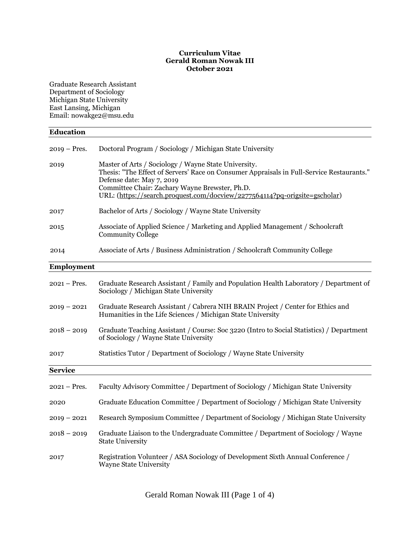#### **Curriculum Vitae Gerald Roman Nowak III October 2021**

Graduate Research Assistant Department of Sociology Michigan State University East Lansing, Michigan Email: nowakge2@msu.edu

# **Education** 2019 – Pres. Doctoral Program / Sociology / Michigan State University 2019 Master of Arts / Sociology / Wayne State University. Thesis: "The Effect of Servers' Race on Consumer Appraisals in Full-Service Restaurants." Defense date: May 7, 2019 Committee Chair: Zachary Wayne Brewster, Ph.D. URL: [\(https://search.proquest.com/docview/2277564114?pq-origsite=gscholar\)](https://search.proquest.com/docview/2277564114?pq-origsite=gscholar) 2017 Bachelor of Arts / Sociology / Wayne State University 2015 Associate of Applied Science / Marketing and Applied Management / Schoolcraft Community College 2014 Associate of Arts / Business Administration / Schoolcraft Community College **Employment** 2021 – Pres. Graduate Research Assistant / Family and Population Health Laboratory / Department of Sociology / Michigan State University 2019 – 2021 Graduate Research Assistant / Cabrera NIH BRAIN Project / Center for Ethics and Humanities in the Life Sciences / Michigan State University 2018 – 2019 Graduate Teaching Assistant / Course: Soc 3220 (Intro to Social Statistics) / Department of Sociology / Wayne State University 2017 Statistics Tutor / Department of Sociology / Wayne State University **Service** 2021 – Pres. Faculty Advisory Committee / Department of Sociology / Michigan State University 2020 Graduate Education Committee / Department of Sociology / Michigan State University 2019 – 2021 Research Symposium Committee / Department of Sociology / Michigan State University 2018 – 2019 Graduate Liaison to the Undergraduate Committee / Department of Sociology / Wayne State University 2017 Registration Volunteer / ASA Sociology of Development Sixth Annual Conference / Wayne State University

Gerald Roman Nowak III (Page 1 of 4)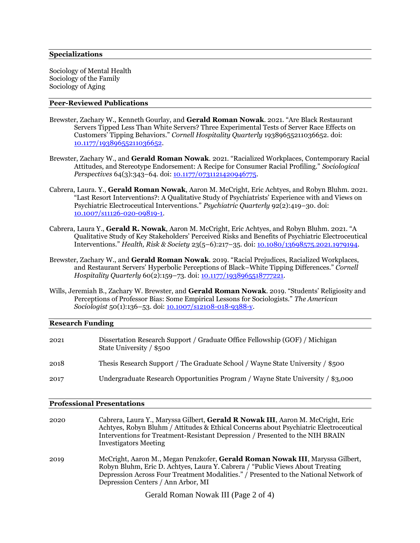Sociology of Mental Health Sociology of the Family Sociology of Aging

#### **Peer-Reviewed Publications**

- Brewster, Zachary W., Kenneth Gourlay, and **Gerald Roman Nowak**. 2021. "Are Black Restaurant Servers Tipped Less Than White Servers? Three Experimental Tests of Server Race Effects on Customers' Tipping Behaviors." *Cornell Hospitality Quarterly* 19389655211036652. doi: [10.1177/19389655211036652.](https://doi.org/10.1177/19389655211036652)
- Brewster, Zachary W., and **Gerald Roman Nowak**. 2021. "Racialized Workplaces, Contemporary Racial Attitudes, and Stereotype Endorsement: A Recipe for Consumer Racial Profiling." *Sociological Perspectives* 64(3):343–64. doi: <u>10.1177/0731121420946775</u>.
- Cabrera, Laura. Y., **Gerald Roman Nowak**, Aaron M. McCright, Eric Achtyes, and Robyn Bluhm. 2021. "Last Resort Interventions?: A Qualitative Study of Psychiatrists' Experience with and Views on Psychiatric Electroceutical Interventions." *Psychiatric Quarterly* 92(2):419–30. doi: [10.1007/s11126-020-09819-1.](https://doi.org/10.1007/s11126-020-09819-1)
- Cabrera, Laura Y., **Gerald R. Nowak**, Aaron M. McCright, Eric Achtyes, and Robyn Bluhm. 2021. "A Qualitative Study of Key Stakeholders' Perceived Risks and Benefits of Psychiatric Electroceutical Interventions." *Health, Risk & Society* 23(5–6):217–35. doi: [10.1080/13698575.2021.1979194.](https://doi.org/10.1080/13698575.2021.1979194)
- Brewster, Zachary W., and **Gerald Roman Nowak**. 2019. "Racial Prejudices, Racialized Workplaces, and Restaurant Servers' Hyperbolic Perceptions of Black–White Tipping Differences." *Cornell Hospitality Quarterly* 60(2):159-73. doi: [10.1177/1938965518777221.](https://doi.org/10.1177/1938965518777221)
- Wills, Jeremiah B., Zachary W. Brewster, and **Gerald Roman Nowak**. 2019. "Students' Religiosity and Perceptions of Professor Bias: Some Empirical Lessons for Sociologists." *The American Sociologist* 50(1):136–53. doi[: 10.1007/s12108-018-9388-y.](https://doi.org/10.1007/s12108-018-9388-y)

#### **Research Funding**

| 2021 | Dissertation Research Support / Graduate Office Fellowship (GOF) / Michigan<br>State University / \$500 |
|------|---------------------------------------------------------------------------------------------------------|
| 2018 | Thesis Research Support / The Graduate School / Wayne State University / \$500                          |
| 2017 | Undergraduate Research Opportunities Program / Wayne State University / \$3,000                         |

#### **Professional Presentations**

| 2020 | Cabrera, Laura Y., Maryssa Gilbert, Gerald R Nowak III, Aaron M. McCright, Eric<br>Achtyes, Robyn Bluhm / Attitudes & Ethical Concerns about Psychiatric Electroceutical<br>Interventions for Treatment-Resistant Depression / Presented to the NIH BRAIN<br><b>Investigators Meeting</b>    |
|------|----------------------------------------------------------------------------------------------------------------------------------------------------------------------------------------------------------------------------------------------------------------------------------------------|
| 2019 | McCright, Aaron M., Megan Penzkofer, Gerald Roman Nowak III, Maryssa Gilbert,<br>Robyn Bluhm, Eric D. Achtyes, Laura Y. Cabrera / "Public Views About Treating<br>Depression Across Four Treatment Modalities." / Presented to the National Network of<br>Depression Centers / Ann Arbor, MI |
|      | $C = 11D$ M $1 \text{ III } (D \cap C)$                                                                                                                                                                                                                                                      |

Gerald Roman Nowak III (Page 2 of 4)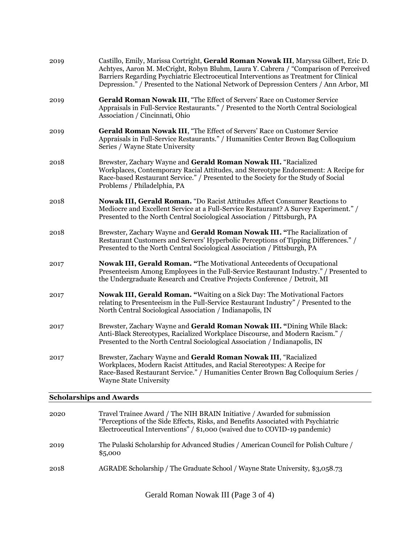| 2019 | Castillo, Emily, Marissa Cortright, Gerald Roman Nowak III, Maryssa Gilbert, Eric D.<br>Achtyes, Aaron M. McCright, Robyn Bluhm, Laura Y. Cabrera / "Comparison of Perceived<br>Barriers Regarding Psychiatric Electroceutical Interventions as Treatment for Clinical<br>Depression." / Presented to the National Network of Depression Centers / Ann Arbor, MI |
|------|------------------------------------------------------------------------------------------------------------------------------------------------------------------------------------------------------------------------------------------------------------------------------------------------------------------------------------------------------------------|
| 2019 | Gerald Roman Nowak III, "The Effect of Servers' Race on Customer Service<br>Appraisals in Full-Service Restaurants." / Presented to the North Central Sociological<br>Association / Cincinnati, Ohio                                                                                                                                                             |
| 2019 | Gerald Roman Nowak III, "The Effect of Servers' Race on Customer Service<br>Appraisals in Full-Service Restaurants." / Humanities Center Brown Bag Colloquium<br>Series / Wayne State University                                                                                                                                                                 |
| 2018 | Brewster, Zachary Wayne and Gerald Roman Nowak III. "Racialized<br>Workplaces, Contemporary Racial Attitudes, and Stereotype Endorsement: A Recipe for<br>Race-based Restaurant Service." / Presented to the Society for the Study of Social<br>Problems / Philadelphia, PA                                                                                      |
| 2018 | Nowak III, Gerald Roman. "Do Racist Attitudes Affect Consumer Reactions to<br>Mediocre and Excellent Service at a Full-Service Restaurant? A Survey Experiment." /<br>Presented to the North Central Sociological Association / Pittsburgh, PA                                                                                                                   |
| 2018 | Brewster, Zachary Wayne and Gerald Roman Nowak III. "The Racialization of<br>Restaurant Customers and Servers' Hyperbolic Perceptions of Tipping Differences." /<br>Presented to the North Central Sociological Association / Pittsburgh, PA                                                                                                                     |
| 2017 | Nowak III, Gerald Roman. "The Motivational Antecedents of Occupational<br>Presenteeism Among Employees in the Full-Service Restaurant Industry." / Presented to<br>the Undergraduate Research and Creative Projects Conference / Detroit, MI                                                                                                                     |
| 2017 | <b>Nowak III, Gerald Roman.</b> "Waiting on a Sick Day: The Motivational Factors<br>relating to Presenteeism in the Full-Service Restaurant Industry" / Presented to the<br>North Central Sociological Association / Indianapolis, IN                                                                                                                            |
| 2017 | Brewster, Zachary Wayne and Gerald Roman Nowak III. "Dining While Black:<br>Anti-Black Stereotypes, Racialized Workplace Discourse, and Modern Racism." /<br>Presented to the North Central Sociological Association / Indianapolis, IN                                                                                                                          |
| 2017 | Brewster, Zachary Wayne and Gerald Roman Nowak III, "Racialized<br>Workplaces, Modern Racist Attitudes, and Racial Stereotypes: A Recipe for<br>Race-Based Restaurant Service." / Humanities Center Brown Bag Colloquium Series /<br><b>Wayne State University</b>                                                                                               |

## **Scholarships and Awards**

| 2020 | Travel Trainee Award / The NIH BRAIN Initiative / Awarded for submission<br>"Perceptions of the Side Effects, Risks, and Benefits Associated with Psychiatric<br>Electroceutical Interventions" / \$1,000 (waived due to COVID-19 pandemic) |
|------|---------------------------------------------------------------------------------------------------------------------------------------------------------------------------------------------------------------------------------------------|
| 2019 | The Pulaski Scholarship for Advanced Studies / American Council for Polish Culture /<br>\$5,000                                                                                                                                             |
| 2018 | AGRADE Scholarship / The Graduate School / Wayne State University, \$3,058.73                                                                                                                                                               |
|      |                                                                                                                                                                                                                                             |

Gerald Roman Nowak III (Page 3 of 4)